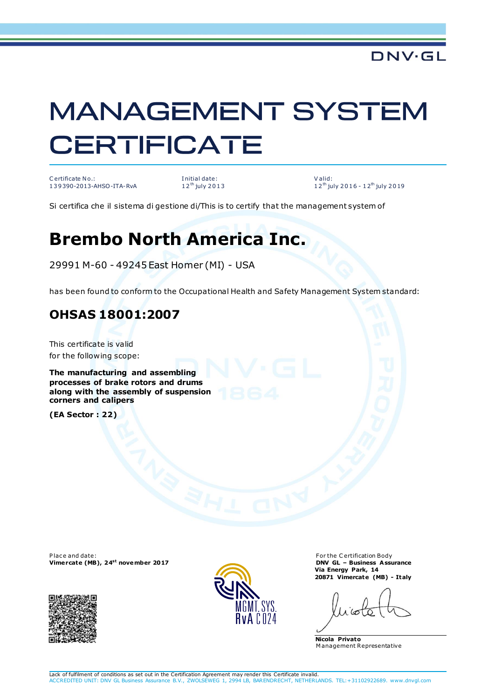## **MANAGEMENT SYSTEM CERTIFICATE**

C ertificate No.: 1 3 9 390-2013-AHSO-ITA-RvA

I nitial date: 12<sup>th</sup> july 2013

V alid: 12<sup>th</sup> july 2016 - 12<sup>th</sup> july 2019

Si certifica che il sistema di gestione di/This is to certify that the management system of

## **Brembo North America Inc.**

29991 M-60 - 49245 East Homer (MI) - USA

has been found to conform to the Occupational Health and Safety Management System standard:

## **OHSAS 18001:2007**

This certificate is valid for the following scope:

**The manufacturing and assembling processes of brake rotors and drums along with the assembly of suspension corners and calipers** 

**(EA Sector : 22)**

Place and date: **Vimercate (MB), 24st november 2017**





For the C ertification Body **DNV GL – Business Assurance Via Energy Park, 14 20871 Vimercate (MB) - Italy**

**Nicola Privato** M anagement Representative